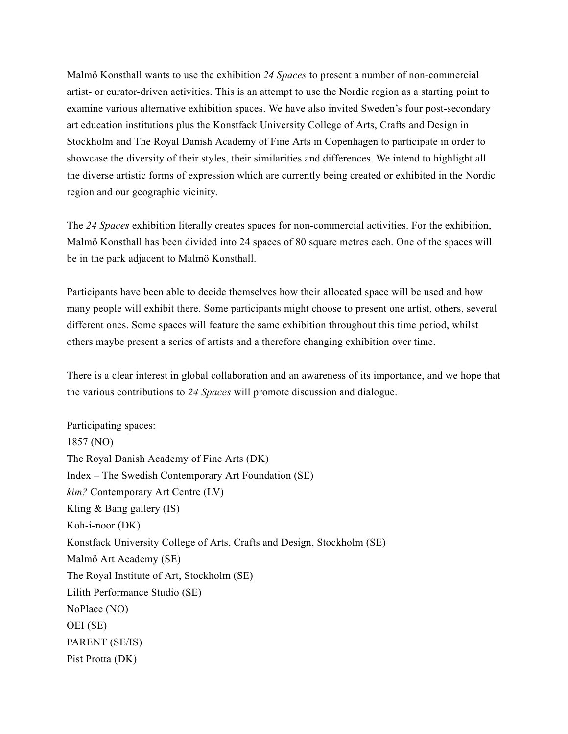Malmö Konsthall wants to use the exhibition *24 Spaces* to present a number of non-commercial artist- or curator-driven activities. This is an attempt to use the Nordic region as a starting point to examine various alternative exhibition spaces. We have also invited Sweden's four post-secondary art education institutions plus the Konstfack University College of Arts, Crafts and Design in Stockholm and The Royal Danish Academy of Fine Arts in Copenhagen to participate in order to showcase the diversity of their styles, their similarities and differences. We intend to highlight all the diverse artistic forms of expression which are currently being created or exhibited in the Nordic region and our geographic vicinity.

The *24 Spaces* exhibition literally creates spaces for non-commercial activities. For the exhibition, Malmö Konsthall has been divided into 24 spaces of 80 square metres each. One of the spaces will be in the park adjacent to Malmö Konsthall.

Participants have been able to decide themselves how their allocated space will be used and how many people will exhibit there. Some participants might choose to present one artist, others, several different ones. Some spaces will feature the same exhibition throughout this time period, whilst others maybe present a series of artists and a therefore changing exhibition over time.

There is a clear interest in global collaboration and an awareness of its importance, and we hope that the various contributions to *24 Spaces* will promote discussion and dialogue.

Participating spaces: 1857 (NO) The Royal Danish Academy of Fine Arts (DK) Index – The Swedish Contemporary Art Foundation (SE) *kim?* Contemporary Art Centre (LV) Kling & Bang gallery (IS) Koh-i-noor (DK) Konstfack University College of Arts, Crafts and Design, Stockholm (SE) Malmö Art Academy (SE) The Royal Institute of Art, Stockholm (SE) Lilith Performance Studio (SE) NoPlace (NO) OEI (SE) PARENT (SE/IS) Pist Protta (DK)